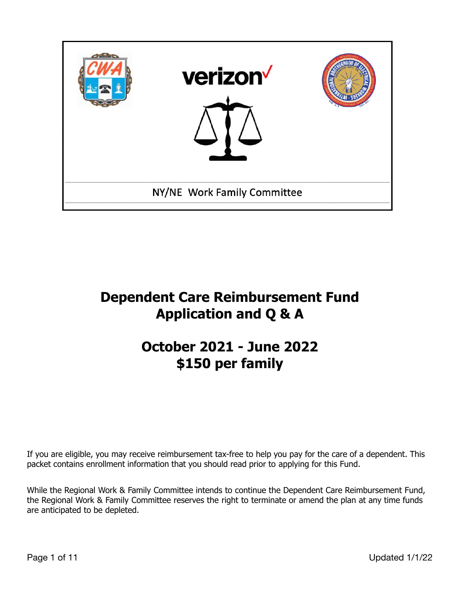

# **Dependent Care Reimbursement Fund Application and Q & A**

# **October 2021 - June 2022 \$150 per family**

If you are eligible, you may receive reimbursement tax-free to help you pay for the care of a dependent. This packet contains enrollment information that you should read prior to applying for this Fund.

While the Regional Work & Family Committee intends to continue the Dependent Care Reimbursement Fund, the Regional Work & Family Committee reserves the right to terminate or amend the plan at any time funds are anticipated to be depleted.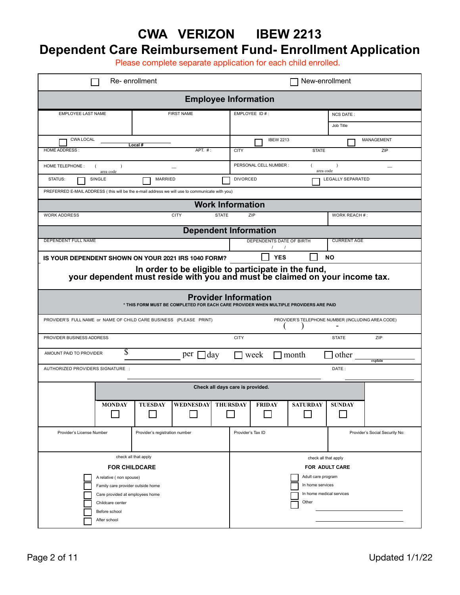#### **CWA VERIZON IBEW 2213 Dependent Care Reimbursement Fund- Enrollment Application**

Please complete separate application for each child enrolled.

| Re-enrollment                                                                                                                                                                                        |                   |                    |  |                                                                                                                       | New-enrollment                                                         |                 |                               |                   |  |
|------------------------------------------------------------------------------------------------------------------------------------------------------------------------------------------------------|-------------------|--------------------|--|-----------------------------------------------------------------------------------------------------------------------|------------------------------------------------------------------------|-----------------|-------------------------------|-------------------|--|
| <b>Employee Information</b>                                                                                                                                                                          |                   |                    |  |                                                                                                                       |                                                                        |                 |                               |                   |  |
| <b>EMPLOYEE LAST NAME</b>                                                                                                                                                                            | <b>FIRST NAME</b> |                    |  | EMPLOYEE ID #:                                                                                                        |                                                                        |                 | <b>NCS DATE:</b><br>Job Title |                   |  |
| <b>CWA LOCAL</b><br><b>HOME ADDRESS:</b>                                                                                                                                                             | Local #           | APT. #:            |  |                                                                                                                       | <b>IBEW 2213</b><br><b>CITY</b><br><b>STATE</b>                        |                 |                               | MANAGEMENT<br>ZIP |  |
| <b>HOME TELEPHONE:</b><br>$\lambda$<br>area code                                                                                                                                                     |                   |                    |  |                                                                                                                       | PERSONAL CELL NUMBER :<br>$\lambda$<br>--<br>area code                 |                 |                               |                   |  |
| STATUS:<br>SINGLE<br><b>MARRIED</b>                                                                                                                                                                  |                   |                    |  |                                                                                                                       | <b>DIVORCED</b><br><b>LEGALLY SEPARATED</b>                            |                 |                               |                   |  |
| PREFERRED E-MAIL ADDRESS (this will be the e-mail address we will use to communicate with you)<br><b>Work Information</b>                                                                            |                   |                    |  |                                                                                                                       |                                                                        |                 |                               |                   |  |
| <b>CITY</b><br><b>STATE</b><br><b>WORK ADDRESS</b>                                                                                                                                                   |                   |                    |  |                                                                                                                       | ZIP                                                                    |                 |                               | WORK REACH #:     |  |
| <b>Dependent Information</b>                                                                                                                                                                         |                   |                    |  |                                                                                                                       |                                                                        |                 |                               |                   |  |
| DEPENDENT FULL NAME                                                                                                                                                                                  |                   |                    |  |                                                                                                                       | <b>CURRENT AGE</b><br>DEPENDENTS DATE OF BIRTH<br>$\prime$<br>$\prime$ |                 |                               |                   |  |
| IS YOUR DEPENDENT SHOWN ON YOUR 2021 IRS 1040 FORM?                                                                                                                                                  |                   |                    |  | <b>YES</b><br><b>NO</b>                                                                                               |                                                                        |                 |                               |                   |  |
| In order to be eligible to participate in the fund,<br>your dependent must reside with you and must be claimed on your income tax.                                                                   |                   |                    |  |                                                                                                                       |                                                                        |                 |                               |                   |  |
| <b>Provider Information</b><br>* THIS FORM MUST BE COMPLETED FOR EACH CARE PROVIDER WHEN MULTIPLE PROVIDERS ARE PAID                                                                                 |                   |                    |  |                                                                                                                       |                                                                        |                 |                               |                   |  |
| PROVIDER'S FULL NAME or NAME OF CHILD CARE BUSINESS (PLEASE PRINT)                                                                                                                                   |                   |                    |  |                                                                                                                       | PROVIDER'S TELEPHONE NUMBER (INCLUDING AREA CODE)                      |                 |                               |                   |  |
| PROVIDER BUSINESS ADDRESS                                                                                                                                                                            |                   |                    |  |                                                                                                                       |                                                                        |                 | <b>STATE</b>                  | ZIP               |  |
| S<br>AMOUNT PAID TO PROVIDER<br>]day<br>per                                                                                                                                                          |                   |                    |  |                                                                                                                       | week<br>other<br>month<br>explain                                      |                 |                               |                   |  |
| AUTHORIZED PROVIDERS SIGNATURE :                                                                                                                                                                     |                   |                    |  |                                                                                                                       |                                                                        |                 | DATE:                         |                   |  |
| Check all days care is provided.                                                                                                                                                                     |                   |                    |  |                                                                                                                       |                                                                        |                 |                               |                   |  |
| <b>MONDAY</b>                                                                                                                                                                                        | <b>TUESDAY</b>    | WEDNESDAY THURSDAY |  |                                                                                                                       | <b>FRIDAY</b>                                                          | <b>SATURDAY</b> | <b>SUNDAY</b>                 |                   |  |
| Provider's registration number<br>Provider's License Number                                                                                                                                          |                   |                    |  | Provider's Tax ID<br>Provider's Social Security No:                                                                   |                                                                        |                 |                               |                   |  |
| check all that apply<br><b>FOR CHILDCARE</b><br>A relative (non spouse)<br>Family care provider outside home<br>Care provided at employees home<br>Childcare center<br>Before school<br>After school |                   |                    |  | check all that apply<br>FOR ADULT CARE<br>Adult care program<br>In home services<br>In home medical services<br>Other |                                                                        |                 |                               |                   |  |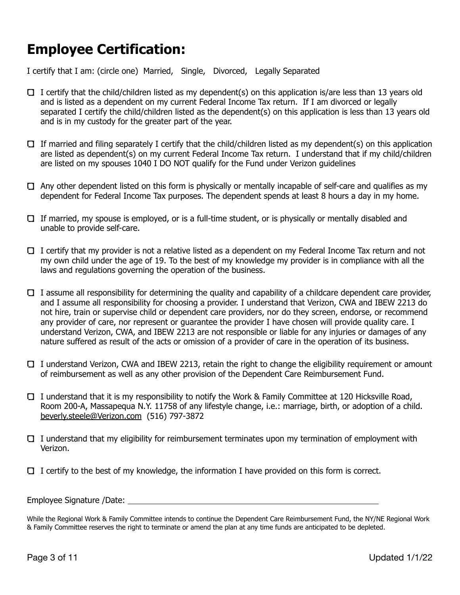# **Employee Certification:**

I certify that I am: (circle one) Married, Single, Divorced, Legally Separated

- I certify that the child/children listed as my dependent(s) on this application is/are less than 13 years old and is listed as a dependent on my current Federal Income Tax return. If I am divorced or legally separated I certify the child/children listed as the dependent(s) on this application is less than 13 years old and is in my custody for the greater part of the year.
- If married and filing separately I certify that the child/children listed as my dependent(s) on this application are listed as dependent(s) on my current Federal Income Tax return. I understand that if my child/children are listed on my spouses 1040 I DO NOT qualify for the Fund under Verizon guidelines
- $\Box$  Any other dependent listed on this form is physically or mentally incapable of self-care and qualifies as my dependent for Federal Income Tax purposes. The dependent spends at least 8 hours a day in my home.
- $\Box$  If married, my spouse is employed, or is a full-time student, or is physically or mentally disabled and unable to provide self-care.
- I certify that my provider is not a relative listed as a dependent on my Federal Income Tax return and not my own child under the age of 19. To the best of my knowledge my provider is in compliance with all the laws and regulations governing the operation of the business.
- $\Box$  I assume all responsibility for determining the quality and capability of a childcare dependent care provider, and I assume all responsibility for choosing a provider. I understand that Verizon, CWA and IBEW 2213 do not hire, train or supervise child or dependent care providers, nor do they screen, endorse, or recommend any provider of care, nor represent or guarantee the provider I have chosen will provide quality care. I understand Verizon, CWA, and IBEW 2213 are not responsible or liable for any injuries or damages of any nature suffered as result of the acts or omission of a provider of care in the operation of its business.
- I understand Verizon, CWA and IBEW 2213, retain the right to change the eligibility requirement or amount of reimbursement as well as any other provision of the Dependent Care Reimbursement Fund.
- I understand that it is my responsibility to notify the Work & Family Committee at 120 Hicksville Road, Room 200-A, Massapequa N.Y. 11758 of any lifestyle change, i.e.: marriage, birth, or adoption of a child. [beverly.steele@Verizon.com](mailto:beverly.steele@verizon.com) (516) 797-3872
- I understand that my eligibility for reimbursement terminates upon my termination of employment with Verizon.
- $\Box$  I certify to the best of my knowledge, the information I have provided on this form is correct.

Employee Signature /Date:

While the Regional Work & Family Committee intends to continue the Dependent Care Reimbursement Fund, the NY/NE Regional Work & Family Committee reserves the right to terminate or amend the plan at any time funds are anticipated to be depleted.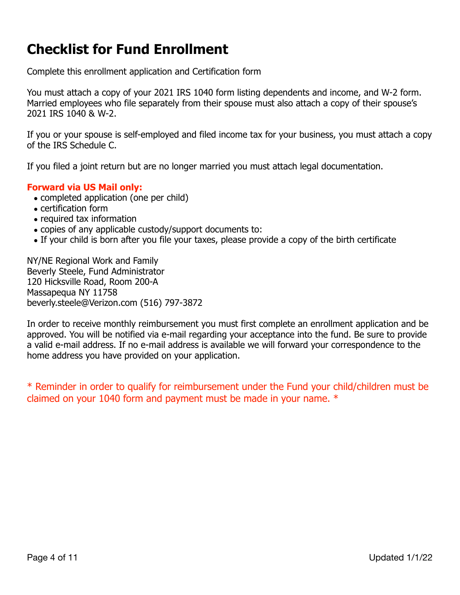### **Checklist for Fund Enrollment**

Complete this enrollment application and Certification form

You must attach a copy of your 2021 IRS 1040 form listing dependents and income, and W-2 form. Married employees who file separately from their spouse must also attach a copy of their spouse's 2021 IRS 1040 & W-2.

If you or your spouse is self-employed and filed income tax for your business, you must attach a copy of the IRS Schedule C.

If you filed a joint return but are no longer married you must attach legal documentation.

#### **Forward via US Mail only:**

- completed application (one per child)
- certification form
- required tax information
- copies of any applicable custody/support documents to:
- If your child is born after you file your taxes, please provide a copy of the birth certificate

NY/NE Regional Work and Family Beverly Steele, Fund Administrator 120 Hicksville Road, Room 200-A Massapequa NY 11758 beverly.steele@Verizon.com (516) 797-3872

In order to receive monthly reimbursement you must first complete an enrollment application and be approved. You will be notified via e-mail regarding your acceptance into the fund. Be sure to provide a valid e-mail address. If no e-mail address is available we will forward your correspondence to the home address you have provided on your application.

\* Reminder in order to qualify for reimbursement under the Fund your child/children must be claimed on your 1040 form and payment must be made in your name. \*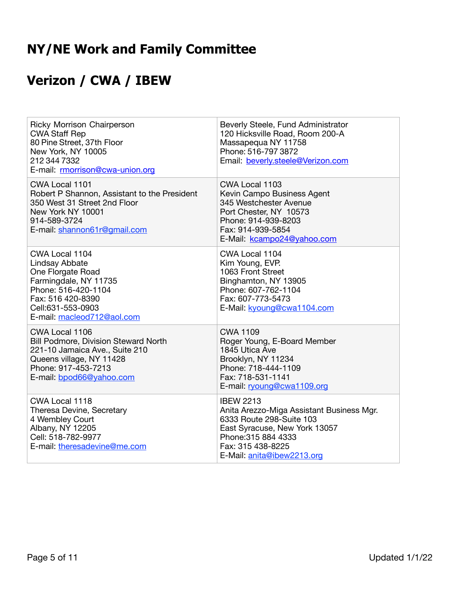# **NY/NE Work and Family Committee**

# **Verizon / CWA / IBEW**

| <b>Ricky Morrison Chairperson</b><br><b>CWA Staff Rep</b><br>80 Pine Street, 37th Floor<br>New York, NY 10005<br>212 344 7332<br>E-mail: rmorrison@cwa-union.org              | Beverly Steele, Fund Administrator<br>120 Hicksville Road, Room 200-A<br>Massapequa NY 11758<br>Phone: 516-797 3872<br>Email: beverly.steele@Verizon.com                                             |
|-------------------------------------------------------------------------------------------------------------------------------------------------------------------------------|------------------------------------------------------------------------------------------------------------------------------------------------------------------------------------------------------|
| CWA Local 1101<br>Robert P Shannon, Assistant to the President<br>350 West 31 Street 2nd Floor<br>New York NY 10001<br>914-589-3724<br>E-mail: shannon61r@gmail.com           | CWA Local 1103<br>Kevin Campo Business Agent<br>345 Westchester Avenue<br>Port Chester, NY 10573<br>Phone: 914-939-8203<br>Fax: 914-939-5854<br>E-Mail: kcampo24@yahoo.com                           |
| CWA Local 1104<br>Lindsay Abbate<br>One Florgate Road<br>Farmingdale, NY 11735<br>Phone: 516-420-1104<br>Fax: 516 420-8390<br>Cell:631-553-0903<br>E-mail: macleod712@aol.com | CWA Local 1104<br>Kim Young, EVP.<br>1063 Front Street<br>Binghamton, NY 13905<br>Phone: 607-762-1104<br>Fax: 607-773-5473<br>E-Mail: kyoung@cwa1104.com                                             |
| CWA Local 1106<br>Bill Podmore, Division Steward North<br>221-10 Jamaica Ave., Suite 210<br>Queens village, NY 11428<br>Phone: 917-453-7213<br>E-mail: bpod66@yahoo.com       | <b>CWA 1109</b><br>Roger Young, E-Board Member<br>1845 Utica Ave<br>Brooklyn, NY 11234<br>Phone: 718-444-1109<br>Fax: 718-531-1141<br>E-mail: ryoung@cwa1109.org                                     |
| CWA Local 1118<br>Theresa Devine, Secretary<br>4 Wembley Court<br>Albany, NY 12205<br>Cell: 518-782-9977<br>E-mail: theresadevine@me.com                                      | <b>IBEW 2213</b><br>Anita Arezzo-Miga Assistant Business Mgr.<br>6333 Route 298-Suite 103<br>East Syracuse, New York 13057<br>Phone: 315 884 4333<br>Fax: 315 438-8225<br>E-Mail: anita@ibew2213.org |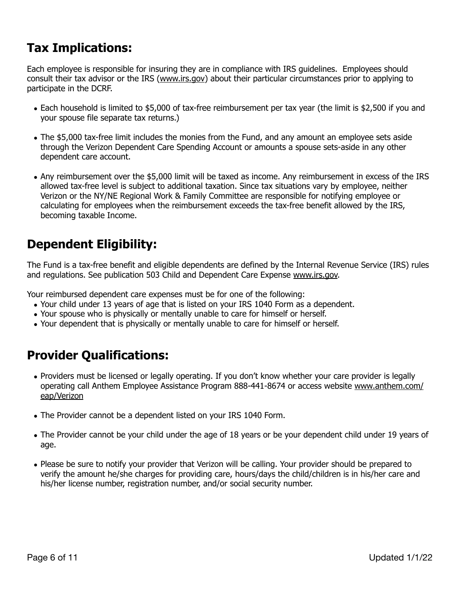### **Tax Implications:**

Each employee is responsible for insuring they are in compliance with IRS guidelines. Employees should consult their tax advisor or the IRS ([www.irs.gov\)](http://www.irs.gov) about their particular circumstances prior to applying to participate in the DCRF.

- Each household is limited to \$5,000 of tax-free reimbursement per tax year (the limit is \$2,500 if you and your spouse file separate tax returns.)
- The \$5,000 tax-free limit includes the monies from the Fund, and any amount an employee sets aside through the Verizon Dependent Care Spending Account or amounts a spouse sets-aside in any other dependent care account.
- Any reimbursement over the \$5,000 limit will be taxed as income. Any reimbursement in excess of the IRS allowed tax-free level is subject to additional taxation. Since tax situations vary by employee, neither Verizon or the NY/NE Regional Work & Family Committee are responsible for notifying employee or calculating for employees when the reimbursement exceeds the tax-free benefit allowed by the IRS, becoming taxable Income.

### **Dependent Eligibility:**

The Fund is a tax-free benefit and eligible dependents are defined by the Internal Revenue Service (IRS) rules and regulations. See publication 503 Child and Dependent Care Expense [www.irs.gov.](http://www.irs.gov)

Your reimbursed dependent care expenses must be for one of the following:

- Your child under 13 years of age that is listed on your IRS 1040 Form as a dependent.
- Your spouse who is physically or mentally unable to care for himself or herself.
- Your dependent that is physically or mentally unable to care for himself or herself.

### **Provider Qualifications:**

- Providers must be licensed or legally operating. If you don't know whether your care provider is legally operating call Anthem Employee Assistance Program 888-441-8674 or access website [www.anthem.com/](http://www.anthem.com/eap/verizon) [eap/Verizon](http://www.anthem.com/eap/verizon)
- The Provider cannot be a dependent listed on your IRS 1040 Form.
- The Provider cannot be your child under the age of 18 years or be your dependent child under 19 years of age.
- Please be sure to notify your provider that Verizon will be calling. Your provider should be prepared to verify the amount he/she charges for providing care, hours/days the child/children is in his/her care and his/her license number, registration number, and/or social security number.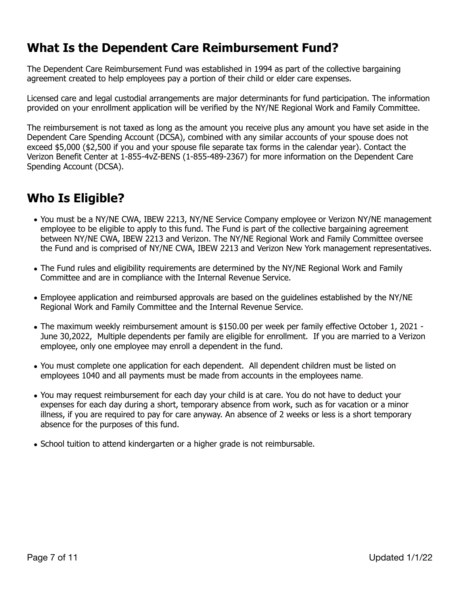#### **What Is the Dependent Care Reimbursement Fund?**

The Dependent Care Reimbursement Fund was established in 1994 as part of the collective bargaining agreement created to help employees pay a portion of their child or elder care expenses.

Licensed care and legal custodial arrangements are major determinants for fund participation. The information provided on your enrollment application will be verified by the NY/NE Regional Work and Family Committee.

The reimbursement is not taxed as long as the amount you receive plus any amount you have set aside in the Dependent Care Spending Account (DCSA), combined with any similar accounts of your spouse does not exceed \$5,000 (\$2,500 if you and your spouse file separate tax forms in the calendar year). Contact the Verizon Benefit Center at 1-855-4vZ-BENS (1-855-489-2367) for more information on the Dependent Care Spending Account (DCSA).

### **Who Is Eligible?**

- You must be a NY/NE CWA, IBEW 2213, NY/NE Service Company employee or Verizon NY/NE management employee to be eligible to apply to this fund. The Fund is part of the collective bargaining agreement between NY/NE CWA, IBEW 2213 and Verizon. The NY/NE Regional Work and Family Committee oversee the Fund and is comprised of NY/NE CWA, IBEW 2213 and Verizon New York management representatives.
- The Fund rules and eligibility requirements are determined by the NY/NE Regional Work and Family Committee and are in compliance with the Internal Revenue Service.
- Employee application and reimbursed approvals are based on the guidelines established by the NY/NE Regional Work and Family Committee and the Internal Revenue Service.
- The maximum weekly reimbursement amount is \$150.00 per week per family effective October 1, 2021 June 30,2022, Multiple dependents per family are eligible for enrollment. If you are married to a Verizon employee, only one employee may enroll a dependent in the fund.
- You must complete one application for each dependent. All dependent children must be listed on employees 1040 and all payments must be made from accounts in the employees name.
- You may request reimbursement for each day your child is at care. You do not have to deduct your expenses for each day during a short, temporary absence from work, such as for vacation or a minor illness, if you are required to pay for care anyway. An absence of 2 weeks or less is a short temporary absence for the purposes of this fund.
- School tuition to attend kindergarten or a higher grade is not reimbursable.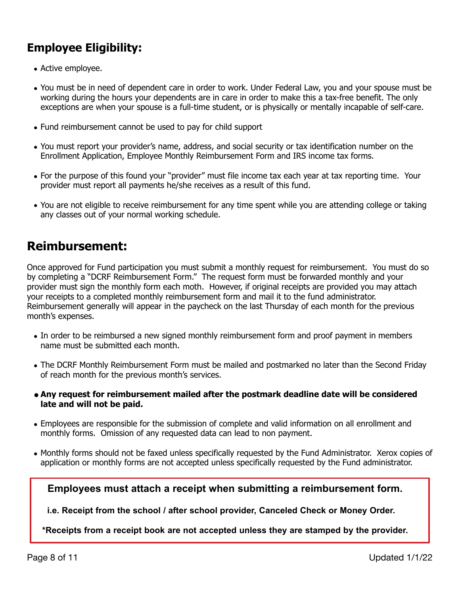#### **Employee Eligibility:**

- Active employee.
- You must be in need of dependent care in order to work. Under Federal Law, you and your spouse must be working during the hours your dependents are in care in order to make this a tax-free benefit. The only exceptions are when your spouse is a full-time student, or is physically or mentally incapable of self-care.
- Fund reimbursement cannot be used to pay for child support
- You must report your provider's name, address, and social security or tax identification number on the Enrollment Application, Employee Monthly Reimbursement Form and IRS income tax forms.
- For the purpose of this found your "provider" must file income tax each year at tax reporting time. Your provider must report all payments he/she receives as a result of this fund.
- You are not eligible to receive reimbursement for any time spent while you are attending college or taking any classes out of your normal working schedule.

#### **Reimbursement:**

Once approved for Fund participation you must submit a monthly request for reimbursement. You must do so by completing a "DCRF Reimbursement Form." The request form must be forwarded monthly and your provider must sign the monthly form each moth. However, if original receipts are provided you may attach your receipts to a completed monthly reimbursement form and mail it to the fund administrator. Reimbursement generally will appear in the paycheck on the last Thursday of each month for the previous month's expenses.

- In order to be reimbursed a new signed monthly reimbursement form and proof payment in members name must be submitted each month.
- The DCRF Monthly Reimbursement Form must be mailed and postmarked no later than the Second Friday of reach month for the previous month's services.
- **• Any request for reimbursement mailed after the postmark deadline date will be considered late and will not be paid.**
- Employees are responsible for the submission of complete and valid information on all enrollment and monthly forms. Omission of any requested data can lead to non payment.
- Monthly forms should not be faxed unless specifically requested by the Fund Administrator. Xerox copies of application or monthly forms are not accepted unless specifically requested by the Fund administrator.

**Employees must attach a receipt when submitting a reimbursement form.**

**i.e. Receipt from the school / after school provider, Canceled Check or Money Order.**

**\*Receipts from a receipt book are not accepted unless they are stamped by the provider.**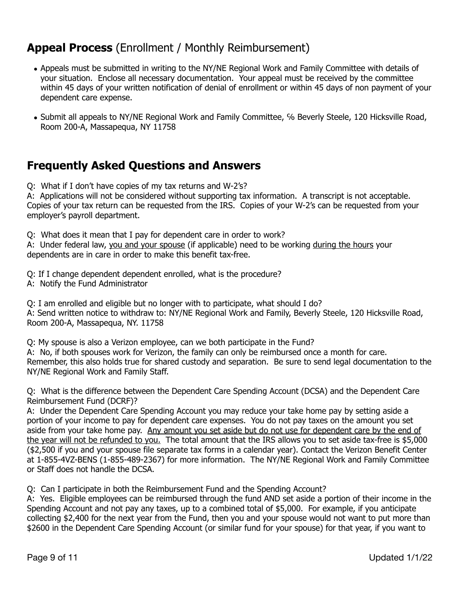#### **Appeal Process** (Enrollment / Monthly Reimbursement)

- Appeals must be submitted in writing to the NY/NE Regional Work and Family Committee with details of your situation. Enclose all necessary documentation. Your appeal must be received by the committee within 45 days of your written notification of denial of enrollment or within 45 days of non payment of your dependent care expense.
- Submit all appeals to NY/NE Regional Work and Family Committee, % Beverly Steele, 120 Hicksville Road, Room 200-A, Massapequa, NY 11758

#### **Frequently Asked Questions and Answers**

Q: What if I don't have copies of my tax returns and W-2's?

A: Applications will not be considered without supporting tax information. A transcript is not acceptable. Copies of your tax return can be requested from the IRS. Copies of your W-2's can be requested from your employer's payroll department.

Q: What does it mean that I pay for dependent care in order to work?

A: Under federal law, you and your spouse (if applicable) need to be working during the hours your dependents are in care in order to make this benefit tax-free.

Q: If I change dependent dependent enrolled, what is the procedure?

A: Notify the Fund Administrator

Q: I am enrolled and eligible but no longer with to participate, what should I do? A: Send written notice to withdraw to: NY/NE Regional Work and Family, Beverly Steele, 120 Hicksville Road, Room 200-A, Massapequa, NY. 11758

Q: My spouse is also a Verizon employee, can we both participate in the Fund? A: No, if both spouses work for Verizon, the family can only be reimbursed once a month for care. Remember, this also holds true for shared custody and separation. Be sure to send legal documentation to the NY/NE Regional Work and Family Staff.

Q: What is the difference between the Dependent Care Spending Account (DCSA) and the Dependent Care Reimbursement Fund (DCRF)?

A: Under the Dependent Care Spending Account you may reduce your take home pay by setting aside a portion of your income to pay for dependent care expenses. You do not pay taxes on the amount you set aside from your take home pay. Any amount you set aside but do not use for dependent care by the end of the year will not be refunded to you. The total amount that the IRS allows you to set aside tax-free is \$5,000 (\$2,500 if you and your spouse file separate tax forms in a calendar year). Contact the Verizon Benefit Center at 1-855-4VZ-BENS (1-855-489-2367) for more information. The NY/NE Regional Work and Family Committee or Staff does not handle the DCSA.

Q: Can I participate in both the Reimbursement Fund and the Spending Account?

A: Yes. Eligible employees can be reimbursed through the fund AND set aside a portion of their income in the Spending Account and not pay any taxes, up to a combined total of \$5,000. For example, if you anticipate collecting \$2,400 for the next year from the Fund, then you and your spouse would not want to put more than \$2600 in the Dependent Care Spending Account (or similar fund for your spouse) for that year, if you want to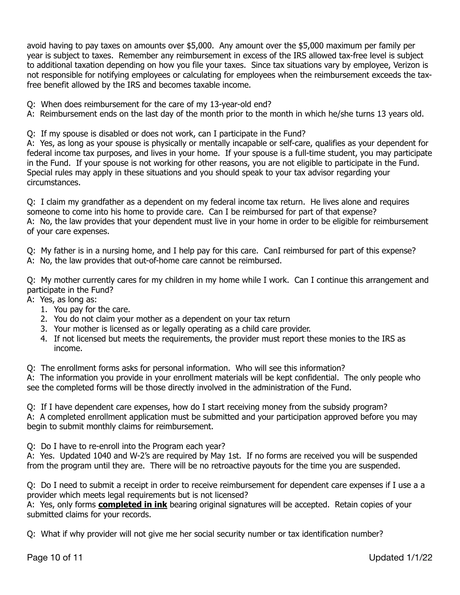avoid having to pay taxes on amounts over \$5,000. Any amount over the \$5,000 maximum per family per year is subject to taxes. Remember any reimbursement in excess of the IRS allowed tax-free level is subject to additional taxation depending on how you file your taxes. Since tax situations vary by employee, Verizon is not responsible for notifying employees or calculating for employees when the reimbursement exceeds the taxfree benefit allowed by the IRS and becomes taxable income.

- Q: When does reimbursement for the care of my 13-year-old end?
- A: Reimbursement ends on the last day of the month prior to the month in which he/she turns 13 years old.

Q: If my spouse is disabled or does not work, can I participate in the Fund?

A: Yes, as long as your spouse is physically or mentally incapable or self-care, qualifies as your dependent for federal income tax purposes, and lives in your home. If your spouse is a full-time student, you may participate in the Fund. If your spouse is not working for other reasons, you are not eligible to participate in the Fund. Special rules may apply in these situations and you should speak to your tax advisor regarding your circumstances.

Q: I claim my grandfather as a dependent on my federal income tax return. He lives alone and requires someone to come into his home to provide care. Can I be reimbursed for part of that expense? A: No, the law provides that your dependent must live in your home in order to be eligible for reimbursement of your care expenses.

Q: My father is in a nursing home, and I help pay for this care. CanI reimbursed for part of this expense?

A: No, the law provides that out-of-home care cannot be reimbursed.

Q: My mother currently cares for my children in my home while I work. Can I continue this arrangement and participate in the Fund?

- A: Yes, as long as:
	- 1. You pay for the care.
	- 2. You do not claim your mother as a dependent on your tax return
	- 3. Your mother is licensed as or legally operating as a child care provider.
	- 4. If not licensed but meets the requirements, the provider must report these monies to the IRS as income.

Q: The enrollment forms asks for personal information. Who will see this information?

A: The information you provide in your enrollment materials will be kept confidential. The only people who see the completed forms will be those directly involved in the administration of the Fund.

Q: If I have dependent care expenses, how do I start receiving money from the subsidy program?

A: A completed enrollment application must be submitted and your participation approved before you may begin to submit monthly claims for reimbursement.

Q: Do I have to re-enroll into the Program each year?

A: Yes. Updated 1040 and W-2's are required by May 1st. If no forms are received you will be suspended from the program until they are. There will be no retroactive payouts for the time you are suspended.

Q: Do I need to submit a receipt in order to receive reimbursement for dependent care expenses if I use a a provider which meets legal requirements but is not licensed?

A: Yes, only forms **completed in ink** bearing original signatures will be accepted. Retain copies of your submitted claims for your records.

Q: What if why provider will not give me her social security number or tax identification number?